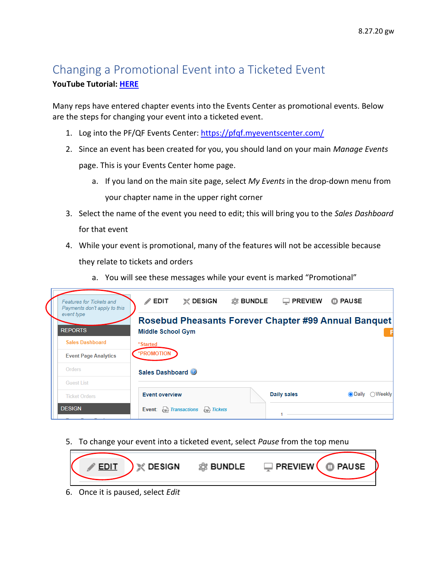## Changing a Promotional Event into a Ticketed Event **YouTube Tutorial: [HERE](https://www.youtube.com/watch?v=ptk1N_it3HY&list=PLoOX_tNUo44OCdOpNZOpx-jdKa2bZeZ4l&index=10&t=1s)**

Many reps have entered chapter events into the Events Center as promotional events. Below are the steps for changing your event into a ticketed event.

- 1. Log into the PF/QF Events Center:<https://pfqf.myeventscenter.com/>
- 2. Since an event has been created for you, you should land on your main *Manage Events* page. This is your Events Center home page.
	- a. If you land on the main site page, select *My Events* in the drop-down menu from your chapter name in the upper right corner
- 3. Select the name of the event you need to edit; this will bring you to the *Sales Dashboard* for that event
- 4. While your event is promotional, many of the features will not be accessible because they relate to tickets and orders
	- a. You will see these messages while your event is marked "Promotional"



5. To change your event into a ticketed event, select *Pause* from the top menu



6. Once it is paused, select *Edit*